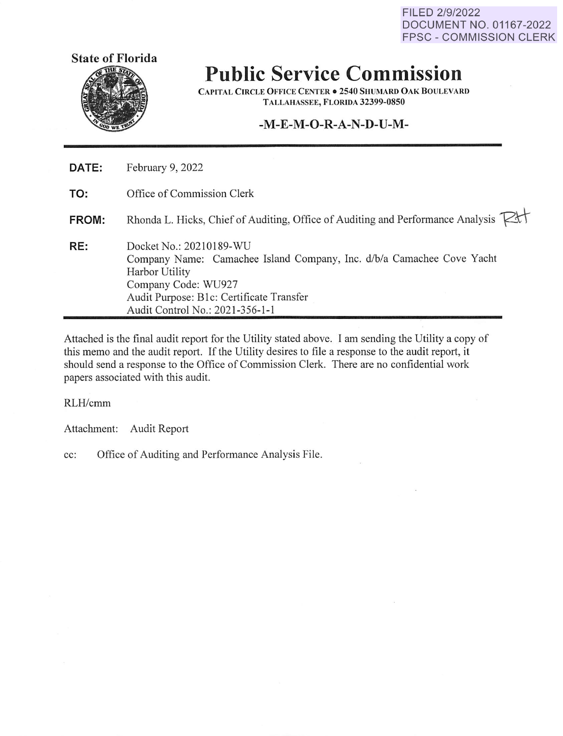FILED 2/9/2022 DOCUMENT NO. 01167-2022 FPSC - COMMISSION CLERK



# **Public Service Commission**

**CAPITAL CIRCLE OFFICE CENTER . 2540 SHUMARD OAK BOULEVARD T ALLA HASS EE, FLORIDA 32399-0850** 

## **-M-E-M-O-R-A-N-D-U-M-**

| DATE: | February 9, 2022                                                                                                                                                                                                         |
|-------|--------------------------------------------------------------------------------------------------------------------------------------------------------------------------------------------------------------------------|
| TO:   | Office of Commission Clerk                                                                                                                                                                                               |
| FROM: | Rhonda L. Hicks, Chief of Auditing, Office of Auditing and Performance Analysis Kt                                                                                                                                       |
| RE:   | Docket No.: 20210189-WU<br>Company Name: Camachee Island Company, Inc. d/b/a Camachee Cove Yacht<br>Harbor Utility<br>Company Code: WU927<br>Audit Purpose: B1c: Certificate Transfer<br>Audit Control No.: 2021-356-1-1 |

Attached is the final audit report for the Utility stated above. I am sending the Utility a copy of this memo and the audit report. If the Utility desires to file a response to the audit report, it should send a response to the Office of Commission Clerk. There are no confidential work papers associated with this audit.

RLH/cmm

Attachment: Audit Report

cc: Office of Auditing and Performance Analysis File.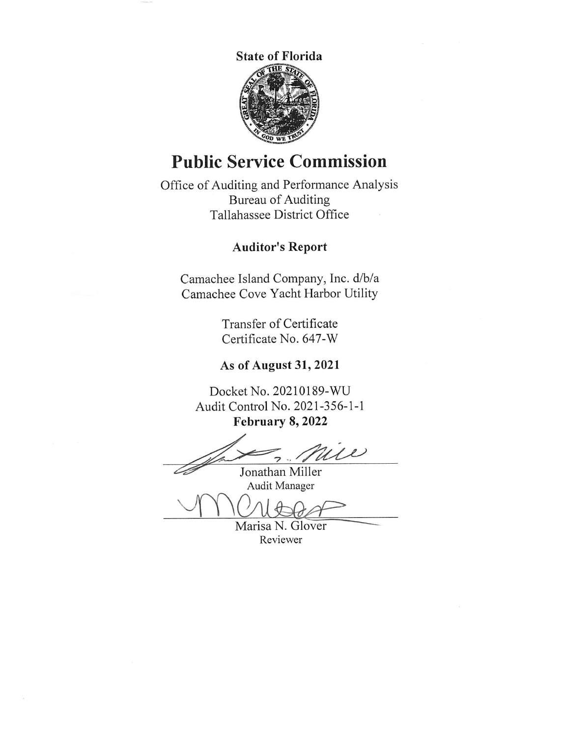

## **Public Service Commission**

Office of Auditing and Performance Analysis Bureau of Auditing Tallahassee District Office

## **Auditor's Report**

Camachee Island Company, Inc. d/b/a Camachee Cove Yacht Harbor Utility

> Transfer of Certificate Certificate No. 647-W

## **As of August 31, 2021**

Docket No. 20210189-WU Audit Control No. 2021-356-1-1 **February 8, 2022** 

 $\frac{2022}{\text{Mile}}$ 

Jonathan Miller Audit Manager

monto de Marisa N. Glover

Reviewer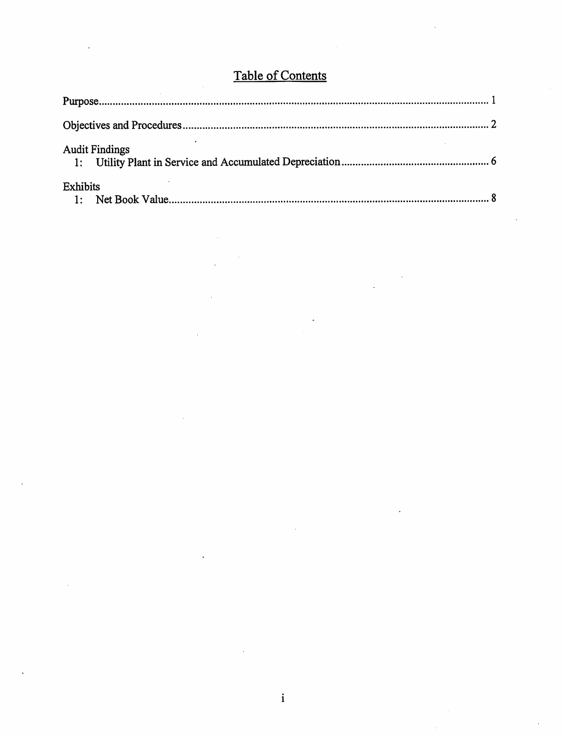| <b>Contract Contract</b> |                   | $\overline{\phantom{a}}$ |  |
|--------------------------|-------------------|--------------------------|--|
|                          | Table of Contents |                          |  |

| <b>Table of Contents</b>    |  |
|-----------------------------|--|
|                             |  |
|                             |  |
| <b>Audit Findings</b><br>1: |  |
| <b>Exhibits</b><br>1:       |  |
|                             |  |
|                             |  |
|                             |  |
|                             |  |
|                             |  |

 $\label{eq:2.1} \frac{1}{\sqrt{2}}\int_{\mathbb{R}^3} \frac{1}{\sqrt{2}}\left(\frac{1}{\sqrt{2}}\right)^2\left(\frac{1}{\sqrt{2}}\right)^2\left(\frac{1}{\sqrt{2}}\right)^2\left(\frac{1}{\sqrt{2}}\right)^2\left(\frac{1}{\sqrt{2}}\right)^2.$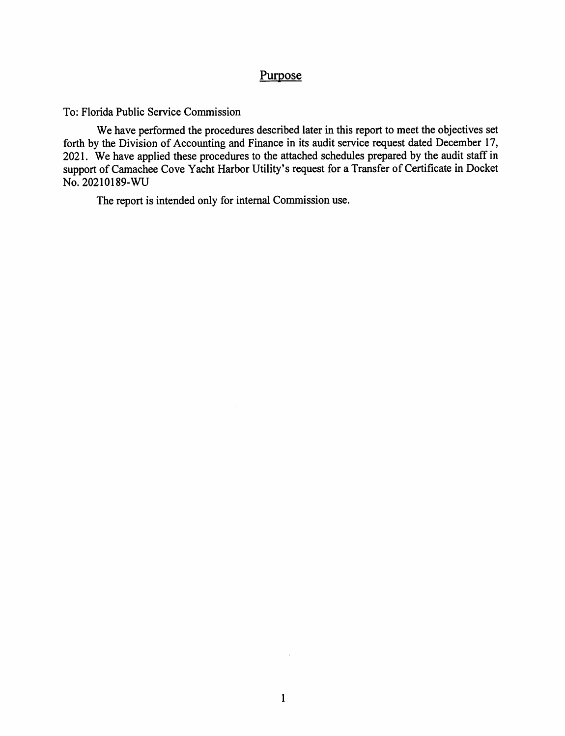## Purpose

To: Florida Public Service Commission

We have performed the procedures described later in this report to meet the objectives set forth by the Division of Accounting and Finance in its audit service request dated December 17, 2021. We have applied these procedures to the attached schedules prepared by the audit staff in support of Camachee Cove Yacht Harbor Utility's request for a Transfer of Certificate in Docket No. 20210189-WU

The report is intended only for internal Commission use.

 $\bar{u}$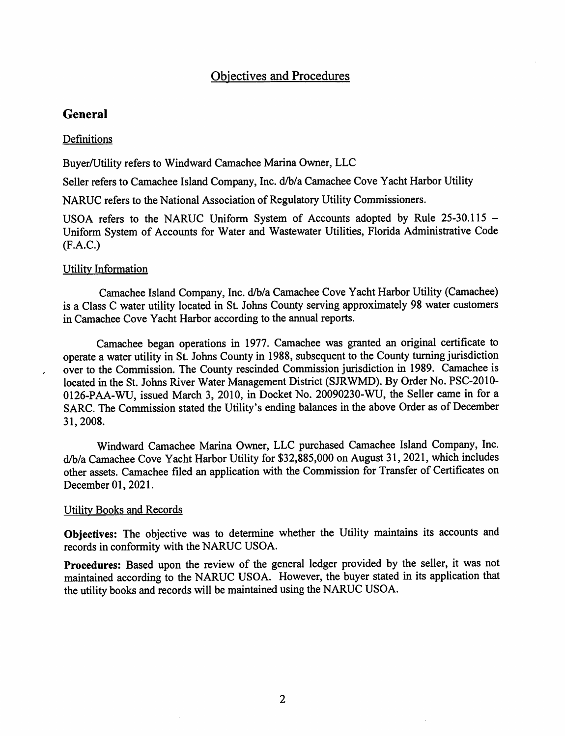## Objectives and Procedures

#### **General**

#### **Definitions**

Buyer/Utility refers to Windward Camachee Marina Owner, LLC

Seller refers to Camachee Island Company, Inc. d/b/a Camachee Cove Yacht Harbor Utility

NARUC refers to the National Association of Regulatory Utility Commissioners.

USOA refers to the NARUC Uniform System of Accounts adopted by Rule 25-30.115 -Uniform System of Accounts for Water and Wastewater Utilities, Florida Administrative Code (F.A.C.)

#### Utility Information

Camachee Island Company, Inc. d/b/a Camachee Cove Yacht Harbor Utility (Camachee) is a Class C water utility located in St. Johns County serving approximately 98 water customers in Camachee Cove Yacht Harbor according to the annual reports.

Camachee began operations in 1977. Camachee was granted an original certificate to operate a water utility in St. Johns County in 1988, subsequent to the County turning jurisdiction over to the Commission. The County rescinded Commission jurisdiction in 1989. Camachee is located in the St. Johns River Water Management District (SJRWMD). By Order No. PSC-2010- 0126-PAA-WU, issued March 3, 2010, in Docket No. 20090230-WU, the Seller came in for a SARC. The Commission stated the Utility's ending balances in the above Order as of December 31, 2008.

Windward Camachee Marina Owner, LLC purchased Camachee Island Company, Inc. d/b/a Camachee Cove Yacht Harbor Utility for \$32,885,000 on August 31, 2021, which includes other assets. Camachee filed an application with the Commission for Transfer of Certificates on December 01, 2021.

#### Utility Books and Records

**Objectives:** The objective was to determine whether the Utility maintains its accounts and records in conformity with the NARUC USOA.

**Procedures:** Based upon the review of the general ledger provided by the seller, it was not maintained according to the NARUC USOA. However, the buyer stated in its application that the utility books and records will be maintained using the NARUC USOA.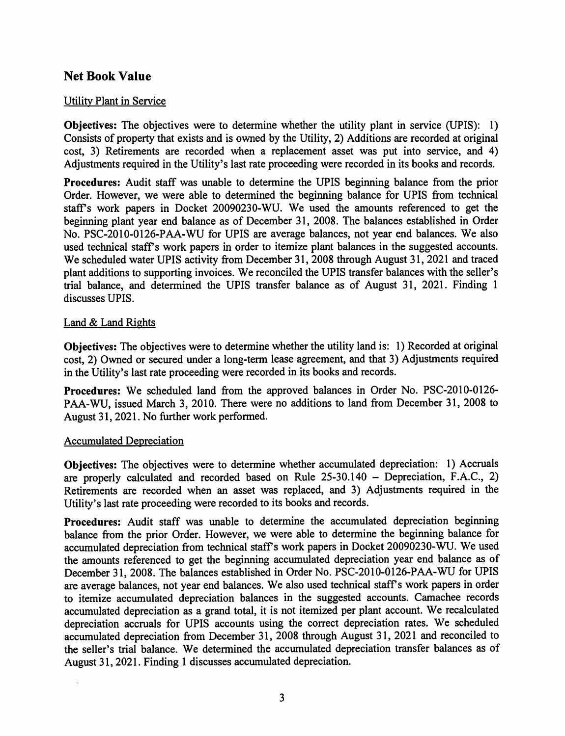## **Net Book Value**

#### Utility Plant in Service

**Objectives:** The objectives were to determine whether the utility plant in service (UPIS): 1) Consists of property that exists and is owned by the Utility, 2) Additions are recorded at original cost, 3) Retirements are recorded when a replacement asset was put into service, and 4) Adjustments required in the Utility's last rate proceeding were recorded in its books and records.

**Procedures:** Audit staff was unable to determine the UPIS beginning balance from the prior Order. However, we were able to determined the beginning balance for UPIS from technical staffs work papers in Docket 20090230-WU. We used the amounts referenced to get the beginning plant year end balance as of December 31, 2008. The balances established in Order No. PSC-2010-0126-PAA-WU for UPIS are average balances, not year end balances. We also used technical staff's work papers in order to itemize plant balances in the suggested accounts. We scheduled water UPIS activity from December 31, 2008 through August 31, 2021 and traced <sup>p</sup>lant additions to supporting invoices. We reconciled the UPIS transfer balances with the seller's trial balance, and determined the UPIS transfer balance as of August 31, 2021. Finding 1 discusses UPIS.

#### Land & Land Rights

**Objectives:** The objectives were to determine whether the utility land is: 1) Recorded at original cost, 2) Owned or secured under a long-term lease agreement, and that 3) Adjustments required in the Utility's last rate proceeding were recorded in its books and records.

**Procedures:** We scheduled land from the approved balances in Order No. PSC-2010-0126- PAA-WU, issued March 3, 2010. There were no additions to land from December 31, 2008 to August 31, 2021. No further work performed.

#### Accumulated Depreciation

**Objectives:** The objectives were to determine whether accumulated depreciation: 1) Accruals are properly calculated and recorded based on Rule 25-30.140 - Depreciation, F.A.C., 2) Retirements are recorded when an asset was replaced, and 3) Adjustments required in the Utility's last rate proceeding were recorded to its books and records.

**Procedures:** Audit staff was unable to determine the accumulated depreciation beginning balance from the prior Order. However, we were able to determine the beginning balance for accumulated depreciation from technical staff's work papers in Docket 20090230-WU. We used the amounts referenced to get the beginning accumulated depreciation year end balance as of December 31, 2008. The balances established in Order No. PSC-2010-0126-PAA-WU for UPIS are average balances, not year end balances. We also used technical staff's work papers in order to itemize accumulated depreciation balances in the suggested accounts. Camachee records accumulated depreciation as a grand total, it is not itemized per plant account. We recalculated depreciation accruals for UPIS accounts using the correct depreciation rates. We scheduled accumulated depreciation from December 31, 2008 through August 31, 2021 and reconciled to the seller's trial balance. We determined the accumulated depreciation transfer balances as of August 31, 2021. Finding 1 discusses accumulated depreciation.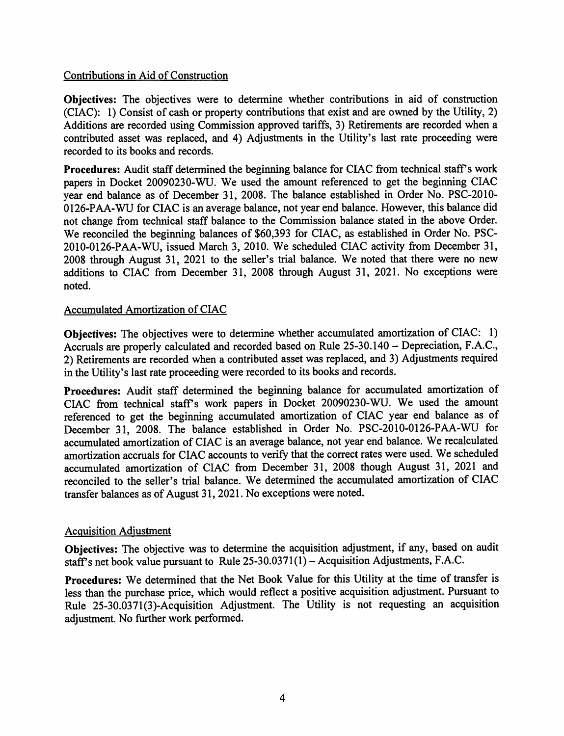#### Contributions in Aid of Construction

**Objectives:** The objectives were to determine whether contributions in aid of construction (CIAC): 1) Consist of cash or property contributions that exist and are owned by the Utility, 2) Additions are recorded using Commission approved tariffs, 3) Retirements are recorded when a contributed asset was replaced, and 4) Adjustments in the Utility's last rate proceeding were recorded to its books and records.

Procedures: Audit staff determined the beginning balance for CIAC from technical staff's work papers in Docket 20090230-WU. We used the amount referenced to get the beginning CIAC year end balance as of December 31, 2008. The balance established in Order No. PSC-2010- 0126-PAA-WU for CIAC is an average balance, not year end balance. However, this balance did not change from technical staff balance to the Commission balance stated in the above Order. We reconciled the beginning balances of \$60,393 for CIAC, as established in Order No. PSC-2010-0126-PAA-WU, issued March 3, 2010. We scheduled CIAC activity from December 31, 2008 through August 31, 2021 to the seller's trial balance. We noted that there were no new additions to CIAC from December 31, 2008 through August 31, 2021. No exceptions were noted.

#### Accumulated Amortization of CIAC

**Objectives:** The objectives were to determine whether accumulated amortization of CIAC: 1) Accruals are properly calculated and recorded based on Rule 25-30.140 – Depreciation, F.A.C., 2) Retirements are recorded when a contributed asset was replaced, and 3) Adjustments required in the Utility's last rate proceeding were recorded to its books and records.

**Procedures:** Audit staff determined the beginning balance for accumulated amortization of CIAC from technical stafrs work papers in Docket 20090230-WU. We used the amount referenced to get the beginning accumulated amortization of CIAC year end balance as of December 31, 2008. The balance established in Order No. PSC-2010-0126-PAA-WU for accumulated amortization of CIAC is an average balance, not year end balance. We recalculated amortization accruals for CIAC accounts to verify that the correct rates were used. We scheduled accumulated amortization of CIAC from December 31, 2008 though August 31, 2021 and reconciled to the seller's trial balance. We determined the accumulated amortization of CIAC transfer balances as of August 31, 2021. No exceptions were noted.

#### Acquisition Adjustment

**Objectives:** The objective was to determine the acquisition adjustment, if any, based on audit staff's net book value pursuant to Rule  $25-30.0371(1)$  – Acquisition Adjustments, F.A.C.

**Procedures:** We determined that the Net Book Value for this Utility at the time of transfer is less than the purchase price, which would reflect a positive acquisition adjustment. Pursuant to Rule 25-30.0371(3)-Acquisition Adjustment. The Utility is not requesting an acquisition adjustment. No further work performed.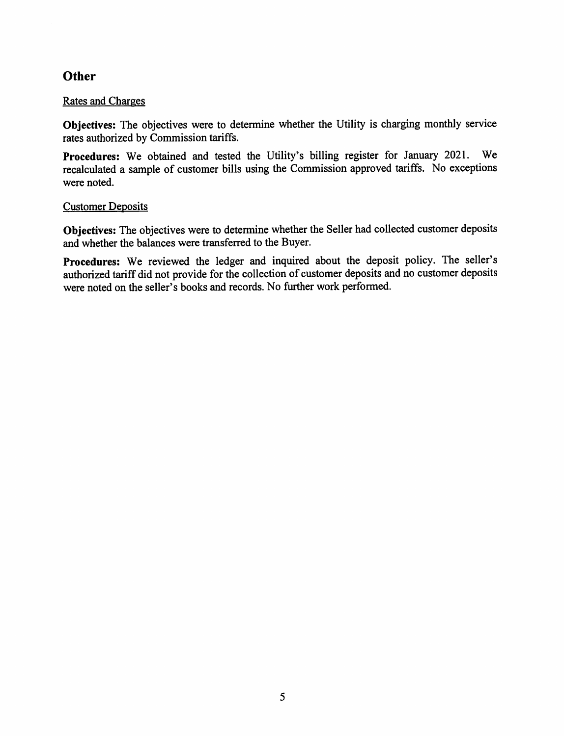## **Other**

#### Rates and Charges

**Objectives:** The objectives were to determine whether the Utility is charging monthly service rates authorized by Commission tariffs.

**Procedures:** We obtained and tested the Utility's billing register for January 2021. We recalculated a sample of customer bills using the Commission approved tariffs. No exceptions were noted.

#### Customer Deposits

**Objectives:** The objectives were to determine whether the Seller had collected customer deposits and whether the balances were transferred to the Buyer.

Procedures: We reviewed the ledger and inquired about the deposit policy. The seller's authorized tariff did not provide for the collection of customer deposits and no customer deposits were noted on the seller's books and records. No further work performed.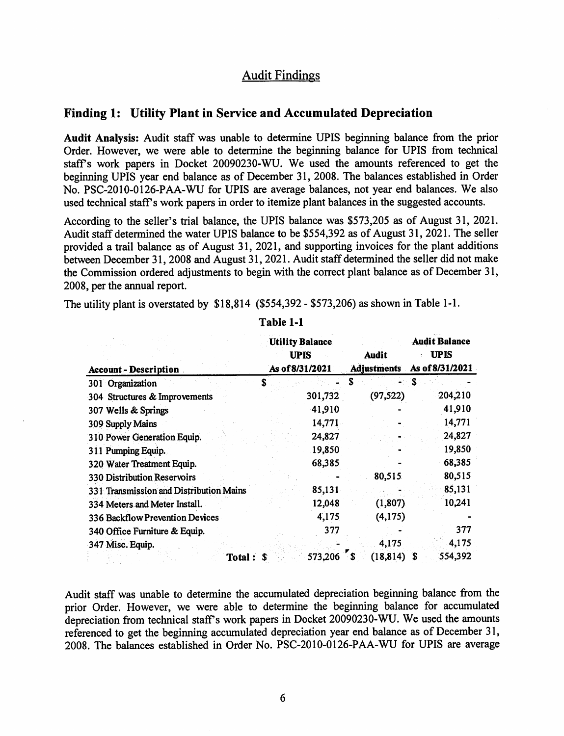## Audit Findings

#### **Finding 1: Utility Plant in Service and Accumulated Depreciation**

**Audit Analysis:** Audit staff was unable to determine UPIS beginning balance from the prior Order. However, we were able to determine the beginning balance for UPIS from technical staffs work papers in Docket 20090230-WU. We used the amounts referenced to get the beginning UPIS year end balance as of December 31, 2008. The balances established in Order No. PSC-2010-0126-PAA-WU for UPIS are average balances, not year end balances. We also used technical staff's work papers in order to itemize plant balances in the suggested accounts.

According to the seller's trial balance, the UPIS balance was \$573,205 as of August 31, 2021. Audit staff determined the water UPIS balance to be \$554,392 as of August 31, 2021. The seller provided a trail balance as of August 31, 2021, and supporting invoices for the plant additions between December 31, 2008 and August 31, 2021. Audit staff determined the seller did not make the Commission ordered adjustments to begin with the correct plant balance as of December 31, 2008, per the annual report.

The utility plant is overstated by \$18,814 (\$554,392 - \$573,206) as shown in Table 1-1.

|                                         | <b>Utility Balance</b> |                    | <b>Audit Balance</b>           |  |
|-----------------------------------------|------------------------|--------------------|--------------------------------|--|
|                                         | <b>UPIS</b>            | Audit              | <b>UPIS</b><br>As of 8/31/2021 |  |
| <b>Account - Description</b>            | As of 8/31/2021        | <b>Adjustments</b> |                                |  |
| 301 Organization                        | \$                     | S                  | `S                             |  |
| 304 Structures & Improvements           | 301,732                | (97, 522)          | 204,210                        |  |
| 307 Wells & Springs                     | 41,910                 |                    | 41,910                         |  |
| 309 Supply Mains                        | 14,771                 |                    | 14,771                         |  |
| 310 Power Generation Equip.             | 24,827                 |                    | 24,827                         |  |
| 311 Pumping Equip.                      | 19,850                 |                    | 19,850                         |  |
| 320 Water Treatment Equip.              | 68,385                 |                    | 68,385                         |  |
| 330 Distribution Reservoirs             |                        | 80,515             | 80,515                         |  |
| 331 Transmission and Distribution Mains | 85,131                 |                    | 85,131                         |  |
| 334 Meters and Meter Install.           | 12,048                 | (1, 807)           | 10,241                         |  |
| 336 Backflow Prevention Devices         | 4,175                  | (4,175)            |                                |  |
| 340 Office Furniture & Equip.           | 377                    |                    | 377                            |  |
| 347 Misc. Equip.                        |                        | 4,175              | 4,175                          |  |
| Total:                                  | 573,206                | (18, 814)          | 554,392<br>S                   |  |

**Table 1-1** 

Audit staff was unable to determine the accumulated depreciation beginning balance from the prior Order. However, we were able to determine the beginning balance for accumulated depreciation from technical staff's work papers in Docket 20090230-WU. We used the amounts referenced to get the beginning accumulated depreciation year end balance as of December 31, 2008. The balances established in Order No. PSC-2010-0126-PAA-WU for UPIS are average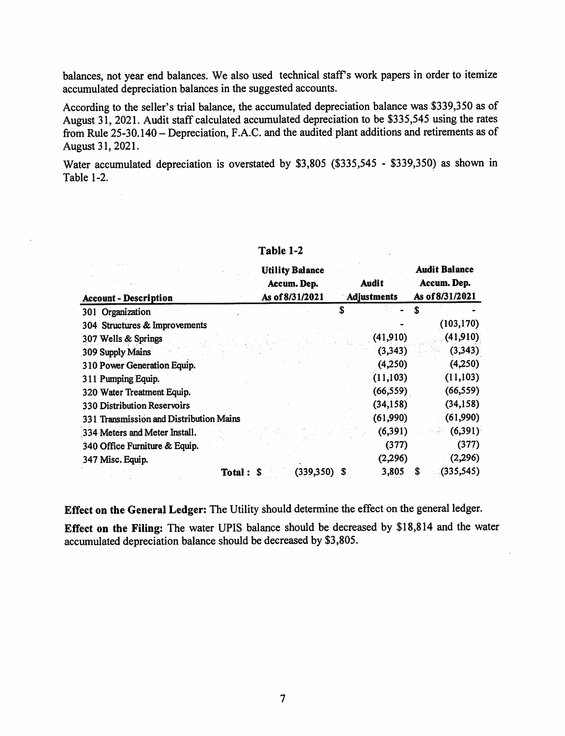balances, not year end balances. We also used technical staff's work papers in order to itemize accumulated depreciation balances in the suggested accounts.

According to the seller's trial balance, the accumulated depreciation balance was \$339,350 as of August 31, 2021. Audit staff calculated accumulated depreciation to be \$335,545 using the rates from Rule 25-30.140-Depreciation, F.A.C. and the audited plant additions and retirements as of August 31, 2021.

Water accumulated depreciation is overstated by \$3,805 (\$335,545 - \$339,350) as shown in Table  $1-2$ .

|                                         | <b>Utility Balance</b> |             |           | <b>Audit Balance</b> |            |
|-----------------------------------------|------------------------|-------------|-----------|----------------------|------------|
|                                         | Accum. Dep.            | Audit       |           | Accum. Dep.          |            |
| <b>Account - Description</b>            | As of 8/31/2021        | Adjustments |           | As of 8/31/2021      |            |
| 301 Organization                        |                        | S           |           |                      |            |
| 304 Structures & Improvements           |                        |             |           |                      | (103, 170) |
| 307 Wells & Springs                     |                        |             | (41, 910) |                      | (41, 910)  |
| 309 Supply Mains                        |                        |             | (3, 343)  |                      | (3,343)    |
| 310 Power Generation Equip.             |                        |             | (4,250)   |                      | (4,250)    |
| 311 Pumping Equip.                      |                        |             | (11, 103) |                      | (11, 103)  |
| 320 Water Treatment Equip.              |                        |             | (66, 559) |                      | (66, 559)  |
| <b>330 Distribution Reservoirs</b>      |                        |             | (34, 158) |                      | (34, 158)  |
| 331 Transmission and Distribution Mains |                        |             | (61, 990) |                      | (61,990)   |
| 334 Meters and Meter Install.           |                        |             | (6, 391)  |                      | (6,391)    |
| 340 Office Furniture & Equip.           |                        |             | (377)     |                      | (377)      |
| 347 Misc. Equip.                        |                        |             | (2,296)   |                      | (2,296)    |
| Total: \$                               | $(339,350)$ \$         |             | 3,805     |                      | (335, 545) |

#### **Table 1-2**

**Effect on the General Ledger:** The Utility should determine the effect on the general ledger.

**Effect on the Filing:** The water UPIS balance should be decreased by \$18,814 and the water accumulated depreciation balance should be decreased by \$3,805.